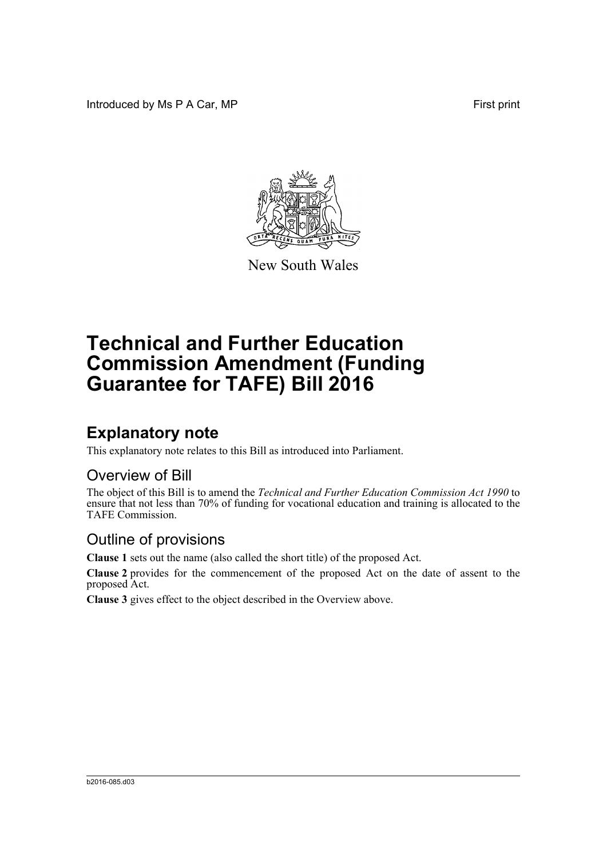Introduced by Ms P A Car, MP **First** print



New South Wales

# **Technical and Further Education Commission Amendment (Funding Guarantee for TAFE) Bill 2016**

## **Explanatory note**

This explanatory note relates to this Bill as introduced into Parliament.

#### Overview of Bill

The object of this Bill is to amend the *Technical and Further Education Commission Act 1990* to ensure that not less than 70% of funding for vocational education and training is allocated to the TAFE Commission.

#### Outline of provisions

**Clause 1** sets out the name (also called the short title) of the proposed Act.

**Clause 2** provides for the commencement of the proposed Act on the date of assent to the proposed Act.

**Clause 3** gives effect to the object described in the Overview above.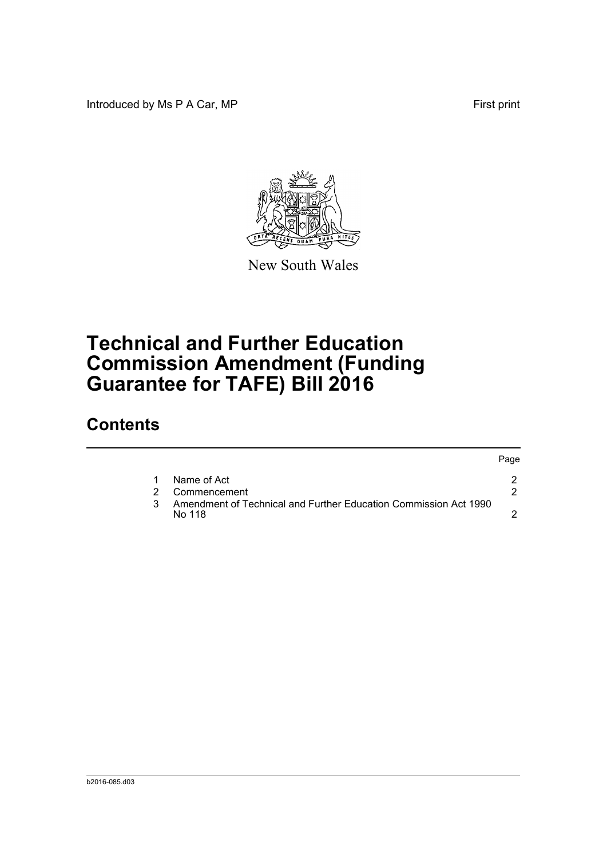Introduced by Ms P A Car, MP **First** print



New South Wales

# **Technical and Further Education Commission Amendment (Funding Guarantee for TAFE) Bill 2016**

### **Contents**

|  |                                                                            | Page |
|--|----------------------------------------------------------------------------|------|
|  | Name of Act                                                                |      |
|  | Commencement                                                               |      |
|  | Amendment of Technical and Further Education Commission Act 1990<br>No 118 |      |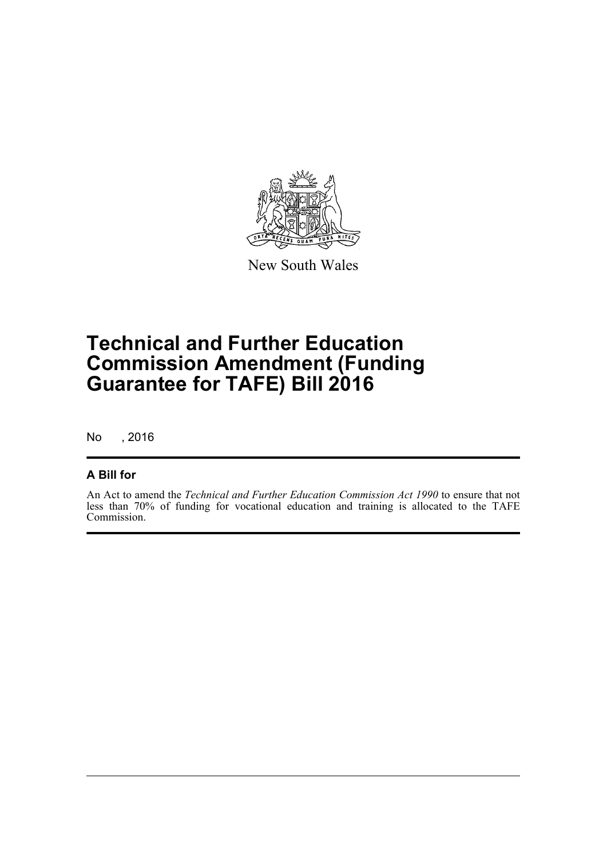

New South Wales

## **Technical and Further Education Commission Amendment (Funding Guarantee for TAFE) Bill 2016**

No , 2016

#### **A Bill for**

An Act to amend the *Technical and Further Education Commission Act 1990* to ensure that not less than 70% of funding for vocational education and training is allocated to the TAFE Commission.